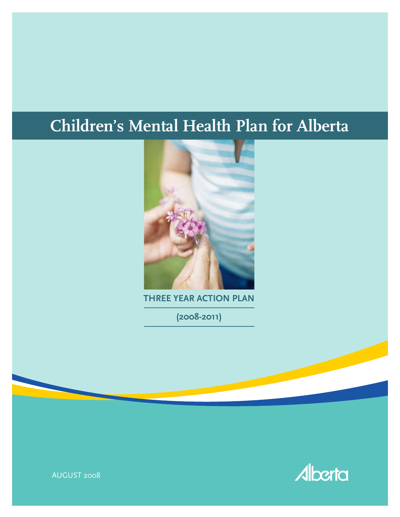# **Children's Mental Health Plan for Alberta**



**THREE YEAR ACTION PLAN**

**(2008-2011)**



AUGUST 2008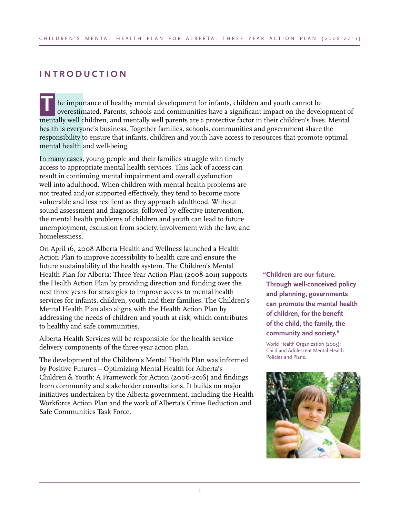# **INTRODUCTION**

he importance of healthy mental development for infants, children and youth cannot be overestimated. Parents, schools and communities have a significant impact on the development of mentally well children, and mentally well parents are a protective factor in their children's lives. Mental health is everyone's business. Together families, schools, communities and government share the responsibility to ensure that infants, children and youth have access to resources that promote optimal mental health and well-being. **T**

In many cases, young people and their families struggle with timely access to appropriate mental health services. This lack of access can result in continuing mental impairment and overall dysfunction well into adulthood. When children with mental health problems are not treated and/or supported effectively, they tend to become more vulnerable and less resilient as they approach adulthood. Without sound assessment and diagnosis, followed by effective intervention, the mental health problems of children and youth can lead to future unemployment, exclusion from society, involvement with the law, and homelessness.

On April 16, 2008 Alberta Health and Wellness launched a Health Action Plan to improve accessibility to health care and ensure the future sustainability of the health system. The Children's Mental Health Plan for Alberta: Three Year Action Plan (2008-2011) supports the Health Action Plan by providing direction and funding over the next three years for strategies to improve access to mental health services for infants, children, youth and their families. The Children's Mental Health Plan also aligns with the Health Action Plan by addressing the needs of children and youth at risk, which contributes to healthy and safe communities.

Alberta Health Services will be responsible for the health service delivery components of the three-year action plan.

The development of the Children's Mental Health Plan was informed by Positive Futures – Optimizing Mental Health for Alberta's Children & Youth: A Framework for Action (2006-2016) and findings from community and stakeholder consultations. It builds on major initiatives undertaken by the Alberta government, including the Health Workforce Action Plan and the work of Alberta's Crime Reduction and Safe Communities Task Force.

**"Children are our future. Through well-conceived policy and planning, governments can promote the mental health of children, for the benefit of the child, the family, the community and society."** 

World Health Organization (2005): Child and Adolescent Mental Health Policies and Plans.

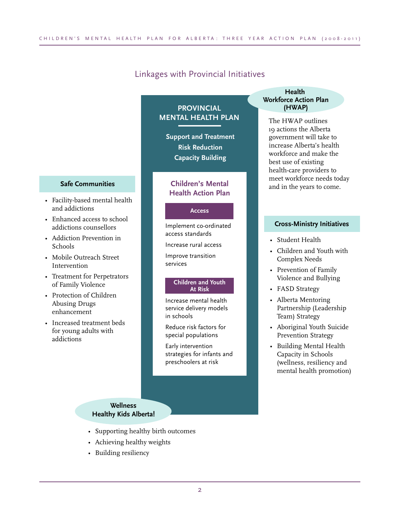### Linkages with Provincial Initiatives

**PROVINCIAL**

# **MENTAL HEALTH PLAN**

**Support and Treatment Risk Reduction Capacity Building**

#### **Children's Mental Health Action Plan**

#### **Access**

Implement co-ordinated access standards

Increase rural access

Improve transition services

#### **Children and Youth At Risk**

Increase mental health service delivery models in schools

Reduce risk factors for special populations

Early intervention strategies for infants and preschoolers at risk

#### **Health Workforce Action Plan (HWAP)**

The HWAP outlines 19 actions the Alberta government will take to increase Alberta's health workforce and make the best use of existing health-care providers to meet workforce needs today and in the years to come.

#### **Cross-Ministry Initiatives**

- Student Health
- Children and Youth with Complex Needs
- Prevention of Family Violence and Bullying
- FASD Strategy
- Alberta Mentoring Partnership (Leadership Team) Strategy
- Aboriginal Youth Suicide Prevention Strategy
- Building Mental Health Capacity in Schools (wellness, resiliency and mental health promotion)

# **Safe Communities**

- Facility-based mental health and addictions
- Enhanced access to school addictions counsellors
- Addiction Prevention in Schools
- Mobile Outreach Street Intervention
- Treatment for Perpetrators of Family Violence
- Protection of Children Abusing Drugs enhancement
- Increased treatment beds for young adults with addictions

#### **Wellness Healthy Kids Alberta!**

- Supporting healthy birth outcomes
- Achieving healthy weights
- Building resiliency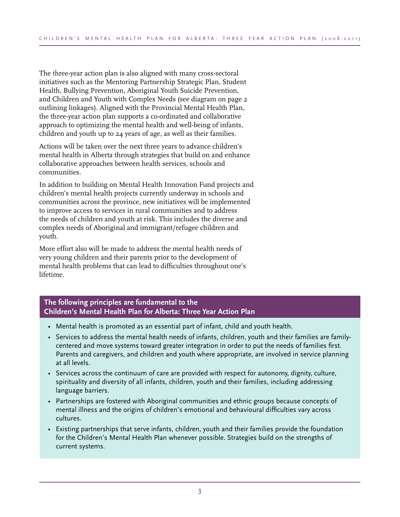The three-year action plan is also aligned with many cross-sectoral initiatives such as the Mentoring Partnership Strategic Plan, Student Health, Bullying Prevention, Aboriginal Youth Suicide Prevention, and Children and Youth with Complex Needs (see diagram on page 2 outlining linkages). Aligned with the Provincial Mental Health Plan, the three-year action plan supports a co-ordinated and collaborative approach to optimizing the mental health and well-being of infants, children and youth up to 24 years of age, as well as their families.

Actions will be taken over the next three years to advance children's mental health in Alberta through strategies that build on and enhance collaborative approaches between health services, schools and communities.

In addition to building on Mental Health Innovation Fund projects and children's mental health projects currently underway in schools and communities across the province, new initiatives will be implemented to improve access to services in rural communities and to address the needs of children and youth at risk. This includes the diverse and complex needs of Aboriginal and immigrant/refugee children and youth.

More effort also will be made to address the mental health needs of very young children and their parents prior to the development of mental health problems that can lead to difficulties throughout one's lifetime.

#### **The following principles are fundamental to the Children's Mental Health Plan for Alberta: Three Year Action Plan**

- Mental health is promoted as an essential part of infant, child and youth health.
- • Services to address the mental health needs of infants, children, youth and their families are familycentered and move systems toward greater integration in order to put the needs of families first. Parents and caregivers, and children and youth where appropriate, are involved in service planning at all levels.
- • Services across the continuum of care are provided with respect for autonomy, dignity, culture, spirituality and diversity of all infants, children, youth and their families, including addressing language barriers.
- • Partnerships are fostered with Aboriginal communities and ethnic groups because concepts of mental illness and the origins of children's emotional and behavioural difficulties vary across cultures.
- • Existing partnerships that serve infants, children, youth and their families provide the foundation for the Children's Mental Health Plan whenever possible. Strategies build on the strengths of current systems.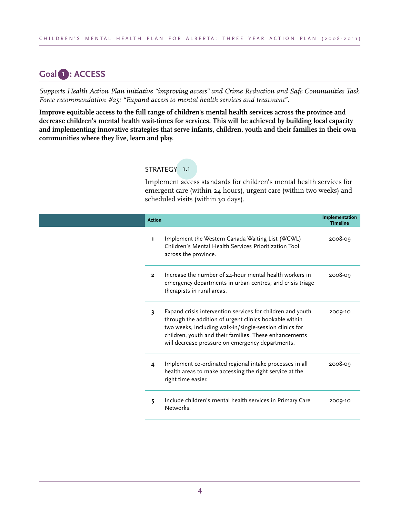# **Goal 1 : ACCESS**

*Supports Health Action Plan initiative "improving access" and Crime Reduction and Safe Communities Task Force recommendation #25: "Expand access to mental health services and treatment".*

**Improve equitable access to the full range of children's mental health services across the province and decrease children's mental health wait-times for services. This will be achieved by building local capacity and implementing innovative strategies that serve infants, children, youth and their families in their own communities where they live, learn and play.** 

#### STRATEGY 1.1

Implement access standards for children's mental health services for emergent care (within 24 hours), urgent care (within two weeks) and scheduled visits (within 30 days).

| <b>Action</b> |                                                                                                                                                                                                                                                                                               | Implementation<br><b>Timeline</b> |
|---------------|-----------------------------------------------------------------------------------------------------------------------------------------------------------------------------------------------------------------------------------------------------------------------------------------------|-----------------------------------|
| ı.            | Implement the Western Canada Waiting List (WCWL)<br>Children's Mental Health Services Prioritization Tool<br>across the province.                                                                                                                                                             | 2008-09                           |
| $\mathbf{2}$  | Increase the number of 24-hour mental health workers in<br>emergency departments in urban centres; and crisis triage<br>therapists in rural areas.                                                                                                                                            | 2008-09                           |
| 3             | Expand crisis intervention services for children and youth<br>through the addition of urgent clinics bookable within<br>two weeks, including walk-in/single-session clinics for<br>children, youth and their families. These enhancements<br>will decrease pressure on emergency departments. | 2009-10                           |
| 4             | Implement co-ordinated regional intake processes in all<br>health areas to make accessing the right service at the<br>right time easier.                                                                                                                                                      | 2008-09                           |
| 5             | Include children's mental health services in Primary Care<br>Networks.                                                                                                                                                                                                                        | 2009-10                           |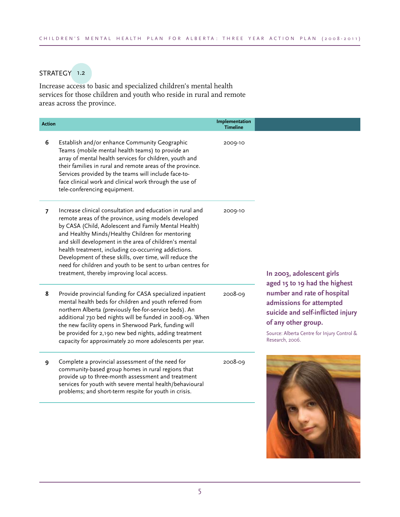### STRATEGY 1.2

Increase access to basic and specialized children's mental health services for those children and youth who reside in rural and remote areas across the province.

| <b>Action</b>  |                                                                                                                                                                                                                                                                                                                                                                                                                                                                                                                         | Implementation<br><b>Timeline</b> |                                                                                                                                                                                                                        |
|----------------|-------------------------------------------------------------------------------------------------------------------------------------------------------------------------------------------------------------------------------------------------------------------------------------------------------------------------------------------------------------------------------------------------------------------------------------------------------------------------------------------------------------------------|-----------------------------------|------------------------------------------------------------------------------------------------------------------------------------------------------------------------------------------------------------------------|
| 6              | Establish and/or enhance Community Geographic<br>Teams (mobile mental health teams) to provide an<br>array of mental health services for children, youth and<br>their families in rural and remote areas of the province.<br>Services provided by the teams will include face-to-<br>face clinical work and clinical work through the use of<br>tele-conferencing equipment.                                                                                                                                            | 2009-10                           |                                                                                                                                                                                                                        |
| $\overline{7}$ | Increase clinical consultation and education in rural and<br>remote areas of the province, using models developed<br>by CASA (Child, Adolescent and Family Mental Health)<br>and Healthy Minds/Healthy Children for mentoring<br>and skill development in the area of children's mental<br>health treatment, including co-occurring addictions.<br>Development of these skills, over time, will reduce the<br>need for children and youth to be sent to urban centres for<br>treatment, thereby improving local access. | 2009-10                           | In 2003, adolescent girls                                                                                                                                                                                              |
| 8              | Provide provincial funding for CASA specialized inpatient<br>mental health beds for children and youth referred from<br>northern Alberta (previously fee-for-service beds). An<br>additional 730 bed nights will be funded in 2008-09. When<br>the new facility opens in Sherwood Park, funding will<br>be provided for 2,190 new bed nights, adding treatment<br>capacity for approximately 20 more adolescents per year.                                                                                              | 2008-09                           | aged 15 to 19 had the highest<br>number and rate of hospital<br>admissions for attempted<br>suicide and self-inflicted injury<br>of any other group.<br>Source: Alberta Centre for Injury Control &<br>Research, 2006. |
| 9              | Complete a provincial assessment of the need for<br>community-based group homes in rural regions that<br>provide up to three-month assessment and treatment<br>services for youth with severe mental health/behavioural<br>problems; and short-term respite for youth in crisis.                                                                                                                                                                                                                                        | 2008-09                           |                                                                                                                                                                                                                        |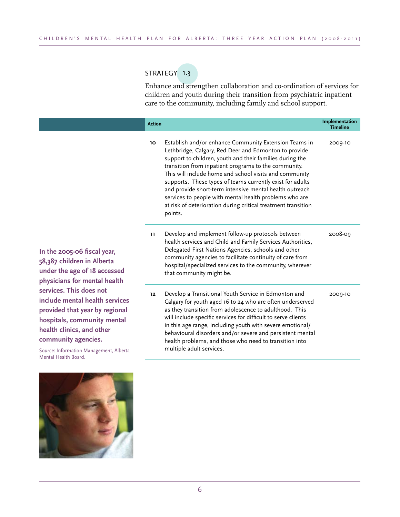# STRATEGY 1.3

Enhance and strengthen collaboration and co-ordination of services for children and youth during their transition from psychiatric inpatient care to the community, including family and school support.

|                                                                                                             | <b>Action</b> |                                                                                                                                                                                                                                                                                                                                                                                                                                                                                                                                                            | Implementation<br><b>Timeline</b> |
|-------------------------------------------------------------------------------------------------------------|---------------|------------------------------------------------------------------------------------------------------------------------------------------------------------------------------------------------------------------------------------------------------------------------------------------------------------------------------------------------------------------------------------------------------------------------------------------------------------------------------------------------------------------------------------------------------------|-----------------------------------|
|                                                                                                             | 10            | Establish and/or enhance Community Extension Teams in<br>Lethbridge, Calgary, Red Deer and Edmonton to provide<br>support to children, youth and their families during the<br>transition from inpatient programs to the community.<br>This will include home and school visits and community<br>supports. These types of teams currently exist for adults<br>and provide short-term intensive mental health outreach<br>services to people with mental health problems who are<br>at risk of deterioration during critical treatment transition<br>points. | 2009-10                           |
| fiscal year,<br>in Alberta<br>f 18 accessed<br><b>nental</b> health                                         | 11.           | Develop and implement follow-up protocols between<br>health services and Child and Family Services Authorities,<br>Delegated First Nations Agencies, schools and other<br>community agencies to facilitate continuity of care from<br>hospital/specialized services to the community, wherever<br>that community might be.                                                                                                                                                                                                                                 | 2008-09                           |
| oes not<br>health services<br>ar by regional:<br>nunity mental<br>nd other<br>ncies.<br>Aanagement, Alberta | 12            | Develop a Transitional Youth Service in Edmonton and<br>Calgary for youth aged 16 to 24 who are often underserved<br>as they transition from adolescence to adulthood. This<br>will include specific services for difficult to serve clients<br>in this age range, including youth with severe emotional/<br>behavioural disorders and/or severe and persistent mental<br>health problems, and those who need to transition into<br>multiple adult services.                                                                                               | 2009-10                           |

**In the 2005-06 f 58,387 children i** under the age of **physicians for m** services. This do **include mental h provided that ye hospitals**, comm **health clinics, and community agen** 

Source: Information M Mental Health Board.

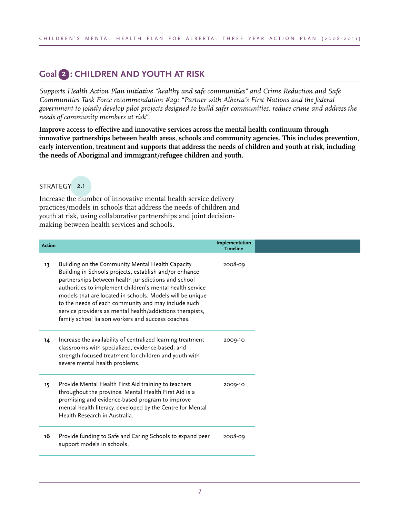# **Goal 2 : CHILDREN AND YOUTH AT RISK**

*Supports Health Action Plan initiative "healthy and safe communities" and Crime Reduction and Safe Communities Task Force recommendation #29: "Partner with Alberta's First Nations and the federal government to jointly develop pilot projects designed to build safer communities, reduce crime and address the needs of community members at risk".*

**Improve access to effective and innovative services across the mental health continuum through innovative partnerships between health areas, schools and community agencies. This includes prevention, early intervention, treatment and supports that address the needs of children and youth at risk, including the needs of Aboriginal and immigrant/refugee children and youth.** 

#### STRATEGY 2.1

Increase the number of innovative mental health service delivery practices/models in schools that address the needs of children and youth at risk, using collaborative partnerships and joint decisionmaking between health services and schools.

| <b>Action</b> |                                                                                                                                                                                                                                                                                                                                                                                                                                                                        | Implementation<br><b>Timeline</b> |
|---------------|------------------------------------------------------------------------------------------------------------------------------------------------------------------------------------------------------------------------------------------------------------------------------------------------------------------------------------------------------------------------------------------------------------------------------------------------------------------------|-----------------------------------|
| 13            | Building on the Community Mental Health Capacity<br>Building in Schools projects, establish and/or enhance<br>partnerships between health jurisdictions and school<br>authorities to implement children's mental health service<br>models that are located in schools. Models will be unique<br>to the needs of each community and may include such<br>service providers as mental health/addictions therapists,<br>family school liaison workers and success coaches. | 2008-09                           |
| 14            | Increase the availability of centralized learning treatment<br>classrooms with specialized, evidence-based, and<br>strength-focused treatment for children and youth with<br>severe mental health problems.                                                                                                                                                                                                                                                            | 2009-10                           |
| 15            | Provide Mental Health First Aid training to teachers<br>throughout the province. Mental Health First Aid is a<br>promising and evidence-based program to improve<br>mental health literacy, developed by the Centre for Mental<br>Health Research in Australia.                                                                                                                                                                                                        | 2009-10                           |
| 16            | Provide funding to Safe and Caring Schools to expand peer<br>support models in schools.                                                                                                                                                                                                                                                                                                                                                                                | 2008-09                           |
|               |                                                                                                                                                                                                                                                                                                                                                                                                                                                                        |                                   |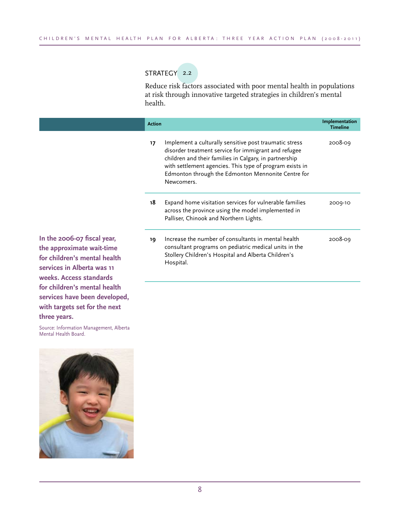## STRATEGY 2.2

Reduce risk factors associated with poor mental health in populations at risk through innovative targeted strategies in children's mental health.

|                                                                                                                                                   | <b>Action</b> |                                                                                                                                                                                                                                                                                                          | Implementation<br><b>Timeline</b> |
|---------------------------------------------------------------------------------------------------------------------------------------------------|---------------|----------------------------------------------------------------------------------------------------------------------------------------------------------------------------------------------------------------------------------------------------------------------------------------------------------|-----------------------------------|
|                                                                                                                                                   | 17            | Implement a culturally sensitive post traumatic stress<br>disorder treatment service for immigrant and refugee<br>children and their families in Calgary, in partnership<br>with settlement agencies. This type of program exists in<br>Edmonton through the Edmonton Mennonite Centre for<br>Newcomers. | 2008-09                           |
|                                                                                                                                                   | 18            | Expand home visitation services for vulnerable families<br>across the province using the model implemented in<br>Palliser, Chinook and Northern Lights.                                                                                                                                                  | 2009-10                           |
| In the 2006-07 fiscal year,<br>the approximate wait-time<br>for children's mental health<br>services in Alberta was 11<br>weeks. Access standards | 19            | Increase the number of consultants in mental health<br>consultant programs on pediatric medical units in the<br>Stollery Children's Hospital and Alberta Children's<br>Hospital.                                                                                                                         | 2008-09                           |

**the approximate wait-time for children's mental health services in Alberta was 11 weeks. Access standards for children's mental health services have been developed, with targets set for the next three years.**

Source: Information Management, Alberta Mental Health Board.

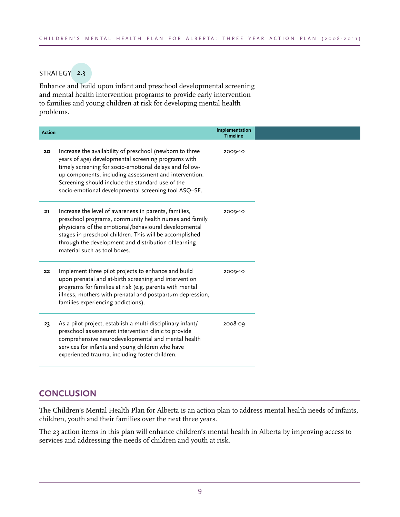# STRATEGY 2.3

Enhance and build upon infant and preschool developmental screening and mental health intervention programs to provide early intervention to families and young children at risk for developing mental health problems.

| <b>Action</b> |                                                                                                                                                                                                                                                                                                                                                 | Implementation<br><b>Timeline</b> |  |
|---------------|-------------------------------------------------------------------------------------------------------------------------------------------------------------------------------------------------------------------------------------------------------------------------------------------------------------------------------------------------|-----------------------------------|--|
| 20            | Increase the availability of preschool (newborn to three<br>years of age) developmental screening programs with<br>timely screening for socio-emotional delays and follow-<br>up components, including assessment and intervention.<br>Screening should include the standard use of the<br>socio-emotional developmental screening tool ASQ-SE. | 2009-10                           |  |
| 21            | Increase the level of awareness in parents, families,<br>preschool programs, community health nurses and family<br>physicians of the emotional/behavioural developmental<br>stages in preschool children. This will be accomplished<br>through the development and distribution of learning<br>material such as tool boxes.                     | 2009-10                           |  |
| 22            | Implement three pilot projects to enhance and build<br>upon prenatal and at-birth screening and intervention<br>programs for families at risk (e.g. parents with mental<br>illness, mothers with prenatal and postpartum depression,<br>families experiencing addictions).                                                                      | 2009-10                           |  |
| 23            | As a pilot project, establish a multi-disciplinary infant/<br>preschool assessment intervention clinic to provide<br>comprehensive neurodevelopmental and mental health<br>services for infants and young children who have<br>experienced trauma, including foster children.                                                                   | 2008-09                           |  |

# **CONCLUSION**

The Children's Mental Health Plan for Alberta is an action plan to address mental health needs of infants, children, youth and their families over the next three years.

The 23 action items in this plan will enhance children's mental health in Alberta by improving access to services and addressing the needs of children and youth at risk.